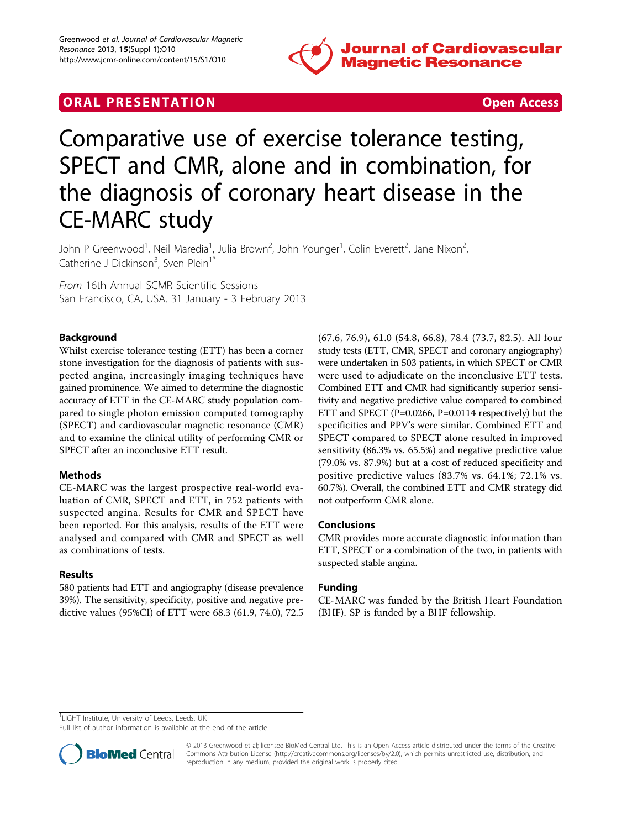

## **ORAL PRESENTATION CONSUMING ACCESS**



# Comparative use of exercise tolerance testing, SPECT and CMR, alone and in combination, for the diagnosis of coronary heart disease in the CE-MARC study

John P Greenwood<sup>1</sup>, Neil Maredia<sup>1</sup>, Julia Brown<sup>2</sup>, John Younger<sup>1</sup>, Colin Everett<sup>2</sup>, Jane Nixon<sup>2</sup> , Catherine J Dickinson<sup>3</sup>, Sven Plein<sup>1\*</sup>

From 16th Annual SCMR Scientific Sessions San Francisco, CA, USA. 31 January - 3 February 2013

## Background

Whilst exercise tolerance testing (ETT) has been a corner stone investigation for the diagnosis of patients with suspected angina, increasingly imaging techniques have gained prominence. We aimed to determine the diagnostic accuracy of ETT in the CE-MARC study population compared to single photon emission computed tomography (SPECT) and cardiovascular magnetic resonance (CMR) and to examine the clinical utility of performing CMR or SPECT after an inconclusive ETT result.

### Methods

CE-MARC was the largest prospective real-world evaluation of CMR, SPECT and ETT, in 752 patients with suspected angina. Results for CMR and SPECT have been reported. For this analysis, results of the ETT were analysed and compared with CMR and SPECT as well as combinations of tests.

### Results

580 patients had ETT and angiography (disease prevalence 39%). The sensitivity, specificity, positive and negative predictive values (95%CI) of ETT were 68.3 (61.9, 74.0), 72.5 (67.6, 76.9), 61.0 (54.8, 66.8), 78.4 (73.7, 82.5). All four study tests (ETT, CMR, SPECT and coronary angiography) were undertaken in 503 patients, in which SPECT or CMR were used to adjudicate on the inconclusive ETT tests. Combined ETT and CMR had significantly superior sensitivity and negative predictive value compared to combined ETT and SPECT (P=0.0266, P=0.0114 respectively) but the specificities and PPV's were similar. Combined ETT and SPECT compared to SPECT alone resulted in improved sensitivity (86.3% vs. 65.5%) and negative predictive value (79.0% vs. 87.9%) but at a cost of reduced specificity and positive predictive values (83.7% vs. 64.1%; 72.1% vs. 60.7%). Overall, the combined ETT and CMR strategy did not outperform CMR alone.

### **Conclusions**

CMR provides more accurate diagnostic information than ETT, SPECT or a combination of the two, in patients with suspected stable angina.

### Funding

CE-MARC was funded by the British Heart Foundation (BHF). SP is funded by a BHF fellowship.

<sup>1</sup>LIGHT Institute, University of Leeds, Leeds, UK

Full list of author information is available at the end of the article



© 2013 Greenwood et al; licensee BioMed Central Ltd. This is an Open Access article distributed under the terms of the Creative Commons Attribution License [\(http://creativecommons.org/licenses/by/2.0](http://creativecommons.org/licenses/by/2.0)), which permits unrestricted use, distribution, and reproduction in any medium, provided the original work is properly cited.